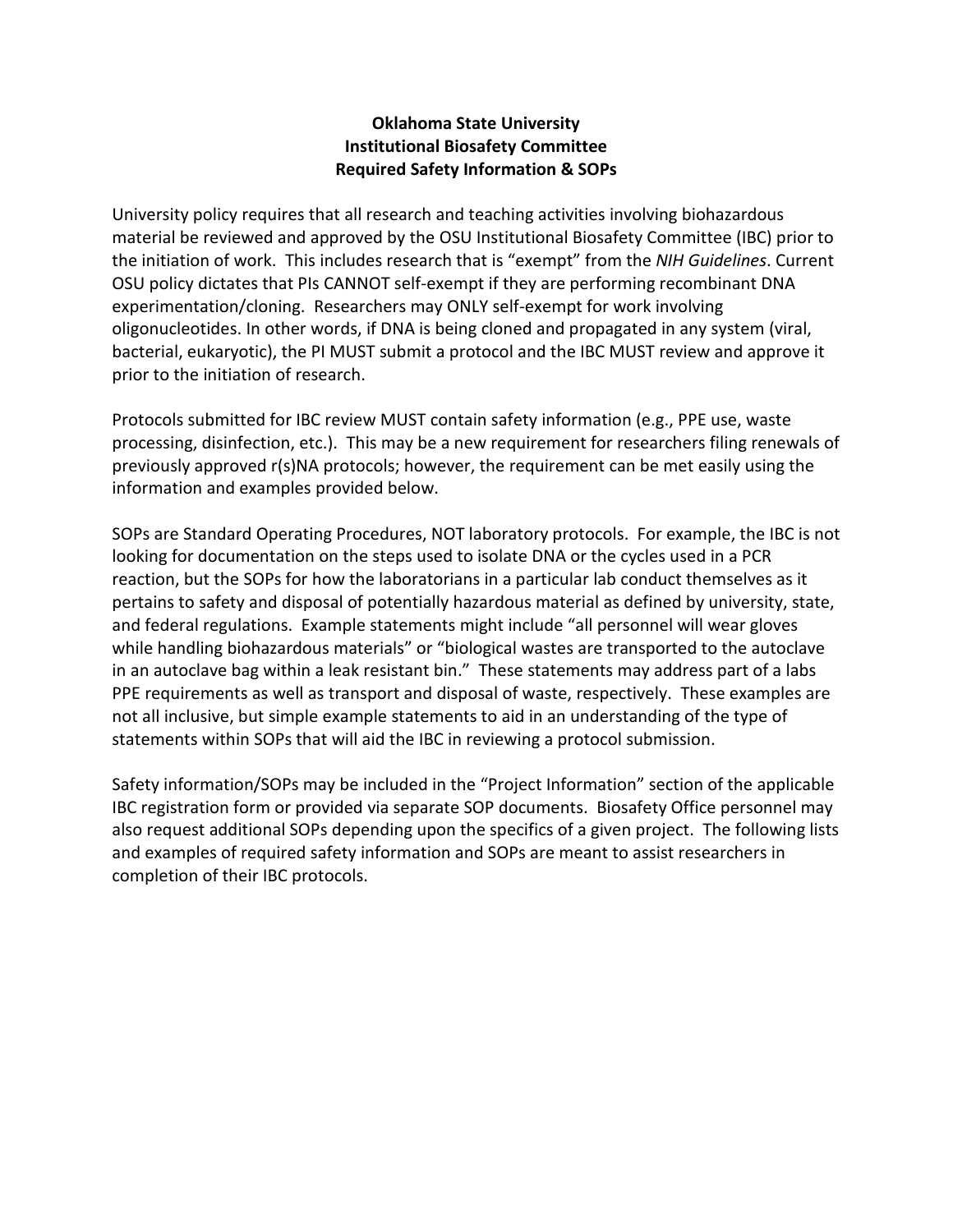## **Oklahoma State University Institutional Biosafety Committee Required Safety Information & SOPs**

University policy requires that all research and teaching activities involving biohazardous material be reviewed and approved by the OSU Institutional Biosafety Committee (IBC) prior to the initiation of work. This includes research that is "exempt" from the *NIH Guidelines*. Current OSU policy dictates that PIs CANNOT self-exempt if they are performing recombinant DNA experimentation/cloning. Researchers may ONLY self-exempt for work involving oligonucleotides. In other words, if DNA is being cloned and propagated in any system (viral, bacterial, eukaryotic), the PI MUST submit a protocol and the IBC MUST review and approve it prior to the initiation of research.

Protocols submitted for IBC review MUST contain safety information (e.g., PPE use, waste processing, disinfection, etc.). This may be a new requirement for researchers filing renewals of previously approved r(s)NA protocols; however, the requirement can be met easily using the information and examples provided below.

SOPs are Standard Operating Procedures, NOT laboratory protocols. For example, the IBC is not looking for documentation on the steps used to isolate DNA or the cycles used in a PCR reaction, but the SOPs for how the laboratorians in a particular lab conduct themselves as it pertains to safety and disposal of potentially hazardous material as defined by university, state, and federal regulations. Example statements might include "all personnel will wear gloves while handling biohazardous materials" or "biological wastes are transported to the autoclave in an autoclave bag within a leak resistant bin." These statements may address part of a labs PPE requirements as well as transport and disposal of waste, respectively. These examples are not all inclusive, but simple example statements to aid in an understanding of the type of statements within SOPs that will aid the IBC in reviewing a protocol submission.

Safety information/SOPs may be included in the "Project Information" section of the applicable IBC registration form or provided via separate SOP documents. Biosafety Office personnel may also request additional SOPs depending upon the specifics of a given project. The following lists and examples of required safety information and SOPs are meant to assist researchers in completion of their IBC protocols.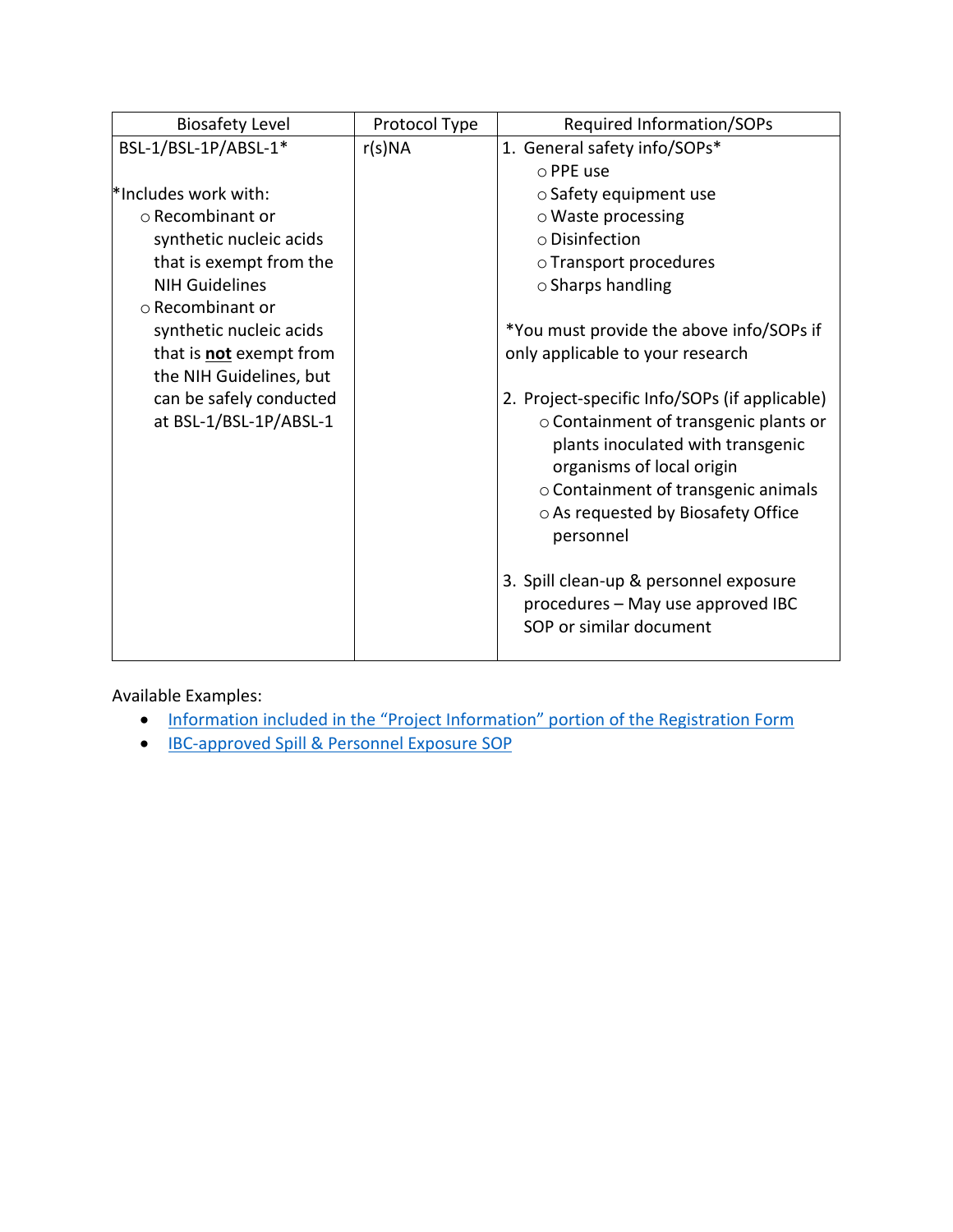| <b>Biosafety Level</b>         | Protocol Type | <b>Required Information/SOPs</b>              |
|--------------------------------|---------------|-----------------------------------------------|
| BSL-1/BSL-1P/ABSL-1*           | r(s)NA        | 1. General safety info/SOPs*                  |
|                                |               | o PPE use                                     |
| *Includes work with:           |               | $\circ$ Safety equipment use                  |
| $\circ$ Recombinant or         |               | $\circ$ Waste processing                      |
| synthetic nucleic acids        |               | $\circ$ Disinfection                          |
| that is exempt from the        |               | o Transport procedures                        |
| <b>NIH Guidelines</b>          |               | $\circ$ Sharps handling                       |
| ○ Recombinant or               |               |                                               |
| synthetic nucleic acids        |               | *You must provide the above info/SOPs if      |
| that is <b>not</b> exempt from |               | only applicable to your research              |
| the NIH Guidelines, but        |               |                                               |
| can be safely conducted        |               | 2. Project-specific Info/SOPs (if applicable) |
| at BSL-1/BSL-1P/ABSL-1         |               | o Containment of transgenic plants or         |
|                                |               | plants inoculated with transgenic             |
|                                |               | organisms of local origin                     |
|                                |               | o Containment of transgenic animals           |
|                                |               | o As requested by Biosafety Office            |
|                                |               | personnel                                     |
|                                |               |                                               |
|                                |               | 3. Spill clean-up & personnel exposure        |
|                                |               | procedures - May use approved IBC             |
|                                |               | SOP or similar document                       |
|                                |               |                                               |

- Information included in the "Project Information" [portion of the Registration Form](#page-5-0)
- [IBC-approved Spill & Personnel Exposure SOP](https://compliance.okstate.edu/sites/default/files/ibc_docs/Spill%20SOP.pdf)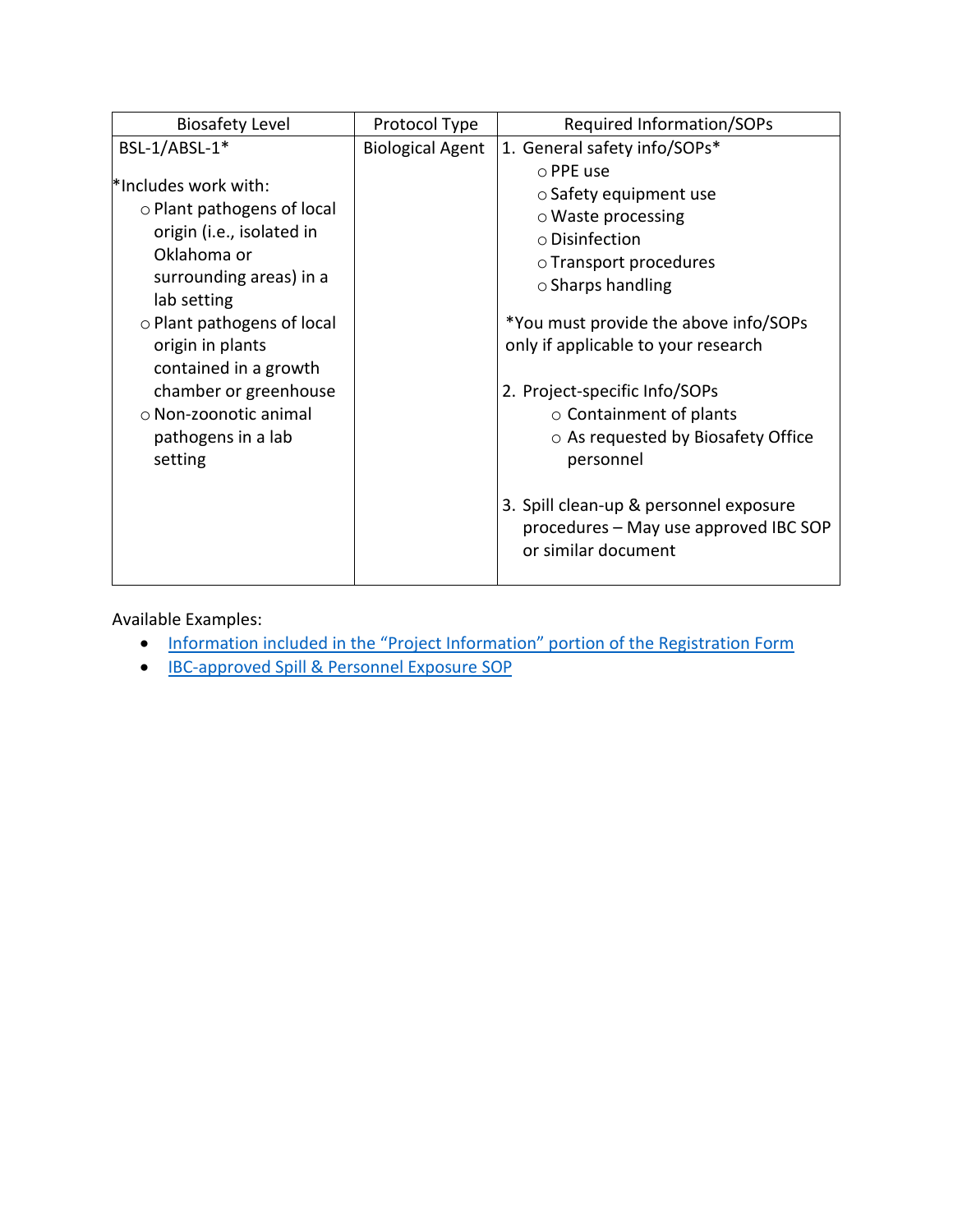| <b>Biosafety Level</b>                                                                                                                                                                                                                                                                      | Protocol Type           | Required Information/SOPs                                                                                                                                                                                                                                                                                                            |
|---------------------------------------------------------------------------------------------------------------------------------------------------------------------------------------------------------------------------------------------------------------------------------------------|-------------------------|--------------------------------------------------------------------------------------------------------------------------------------------------------------------------------------------------------------------------------------------------------------------------------------------------------------------------------------|
| BSL-1/ABSL-1*                                                                                                                                                                                                                                                                               | <b>Biological Agent</b> | 1. General safety info/SOPs*                                                                                                                                                                                                                                                                                                         |
| *Includes work with:<br>○ Plant pathogens of local<br>origin (i.e., isolated in<br>Oklahoma or<br>surrounding areas) in a<br>lab setting<br>○ Plant pathogens of local<br>origin in plants<br>contained in a growth<br>chamber or greenhouse<br>o Non-zoonotic animal<br>pathogens in a lab |                         | ○ PPE use<br>$\circ$ Safety equipment use<br>$\circ$ Waste processing<br>o Disinfection<br>○ Transport procedures<br>$\circ$ Sharps handling<br>*You must provide the above info/SOPs<br>only if applicable to your research<br>2. Project-specific Info/SOPs<br>$\circ$ Containment of plants<br>○ As requested by Biosafety Office |
| setting                                                                                                                                                                                                                                                                                     |                         | personnel<br>3. Spill clean-up & personnel exposure<br>procedures - May use approved IBC SOP<br>or similar document                                                                                                                                                                                                                  |

- Information [included in the "Project Information" portion of the Registration Form](#page-6-0)
- IBC-approved Spill [& Personnel Exposure](https://compliance.okstate.edu/sites/default/files/ibc_docs/Spill%20SOP.pdf) SOP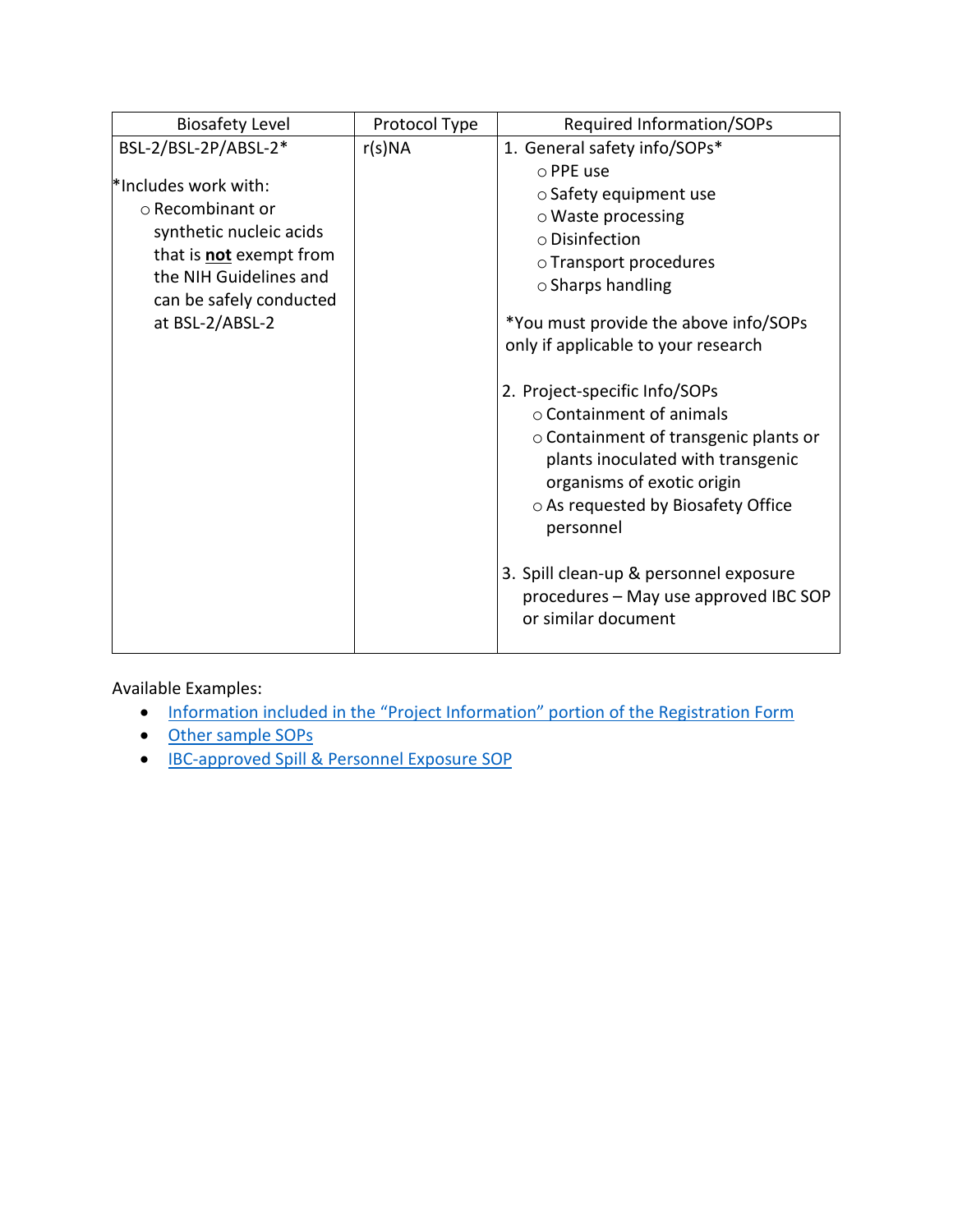| <b>Biosafety Level</b>         | Protocol Type | Required Information/SOPs                                                                                                                                                                                                      |
|--------------------------------|---------------|--------------------------------------------------------------------------------------------------------------------------------------------------------------------------------------------------------------------------------|
| BSL-2/BSL-2P/ABSL-2*           | r(s)NA        | 1. General safety info/SOPs*                                                                                                                                                                                                   |
|                                |               | $\circ$ PPE use                                                                                                                                                                                                                |
| *Includes work with:           |               | $\circ$ Safety equipment use                                                                                                                                                                                                   |
| ○ Recombinant or               |               | $\circ$ Waste processing                                                                                                                                                                                                       |
| synthetic nucleic acids        |               | $\circ$ Disinfection                                                                                                                                                                                                           |
| that is <b>not</b> exempt from |               | o Transport procedures                                                                                                                                                                                                         |
| the NIH Guidelines and         |               | $\circ$ Sharps handling                                                                                                                                                                                                        |
| can be safely conducted        |               |                                                                                                                                                                                                                                |
| at BSL-2/ABSL-2                |               | *You must provide the above info/SOPs                                                                                                                                                                                          |
|                                |               | only if applicable to your research                                                                                                                                                                                            |
|                                |               | 2. Project-specific Info/SOPs<br>$\circ$ Containment of animals<br>○ Containment of transgenic plants or<br>plants inoculated with transgenic<br>organisms of exotic origin<br>○ As requested by Biosafety Office<br>personnel |
|                                |               | 3. Spill clean-up & personnel exposure<br>procedures - May use approved IBC SOP<br>or similar document                                                                                                                         |

- [Information included in the "Project Information" portion of the Registration Form](#page-7-0)
- [Other sample SOPs](#page-8-0)
- IBC-approved Spill [& Personnel Exposure](https://compliance.okstate.edu/sites/default/files/ibc_docs/Spill%20SOP.pdf) SOP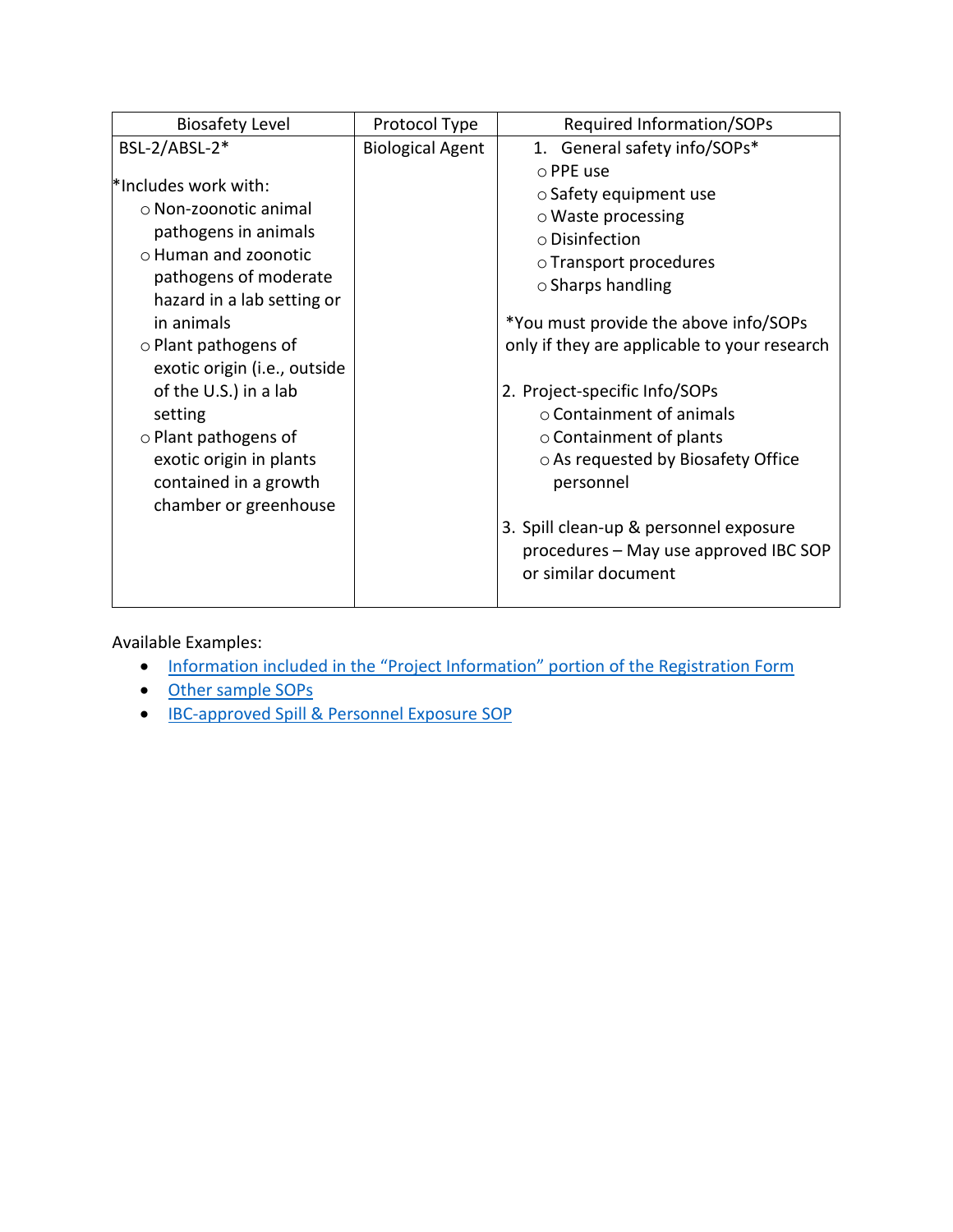| <b>Biosafety Level</b>                                                                                                                                                                                                                                                                                                                                                          | Protocol Type           | <b>Required Information/SOPs</b>                                                                                                                                                                                                                                                                                                                                                                                                                                                |
|---------------------------------------------------------------------------------------------------------------------------------------------------------------------------------------------------------------------------------------------------------------------------------------------------------------------------------------------------------------------------------|-------------------------|---------------------------------------------------------------------------------------------------------------------------------------------------------------------------------------------------------------------------------------------------------------------------------------------------------------------------------------------------------------------------------------------------------------------------------------------------------------------------------|
| BSL-2/ABSL-2*                                                                                                                                                                                                                                                                                                                                                                   | <b>Biological Agent</b> | 1. General safety info/SOPs*                                                                                                                                                                                                                                                                                                                                                                                                                                                    |
| *Includes work with:<br>o Non-zoonotic animal<br>pathogens in animals<br>o Human and zoonotic<br>pathogens of moderate<br>hazard in a lab setting or<br>in animals<br>$\circ$ Plant pathogens of<br>exotic origin (i.e., outside<br>of the U.S.) in a lab<br>setting<br>$\circ$ Plant pathogens of<br>exotic origin in plants<br>contained in a growth<br>chamber or greenhouse |                         | o PPE use<br>$\circ$ Safety equipment use<br>$\circ$ Waste processing<br>o Disinfection<br>○ Transport procedures<br>$\circ$ Sharps handling<br>*You must provide the above info/SOPs<br>only if they are applicable to your research<br>2. Project-specific Info/SOPs<br>$\circ$ Containment of animals<br>$\circ$ Containment of plants<br>○ As requested by Biosafety Office<br>personnel<br>3. Spill clean-up & personnel exposure<br>procedures - May use approved IBC SOP |
|                                                                                                                                                                                                                                                                                                                                                                                 |                         | or similar document                                                                                                                                                                                                                                                                                                                                                                                                                                                             |

- [Information included in the "Project Information" portion of the Registration Form](#page-7-0)
- [Other sample SOPs](#page-8-0)
- IBC-approved Spill [& Personnel Exposure](https://compliance.okstate.edu/sites/default/files/ibc_docs/Spill%20SOP.pdf) SOP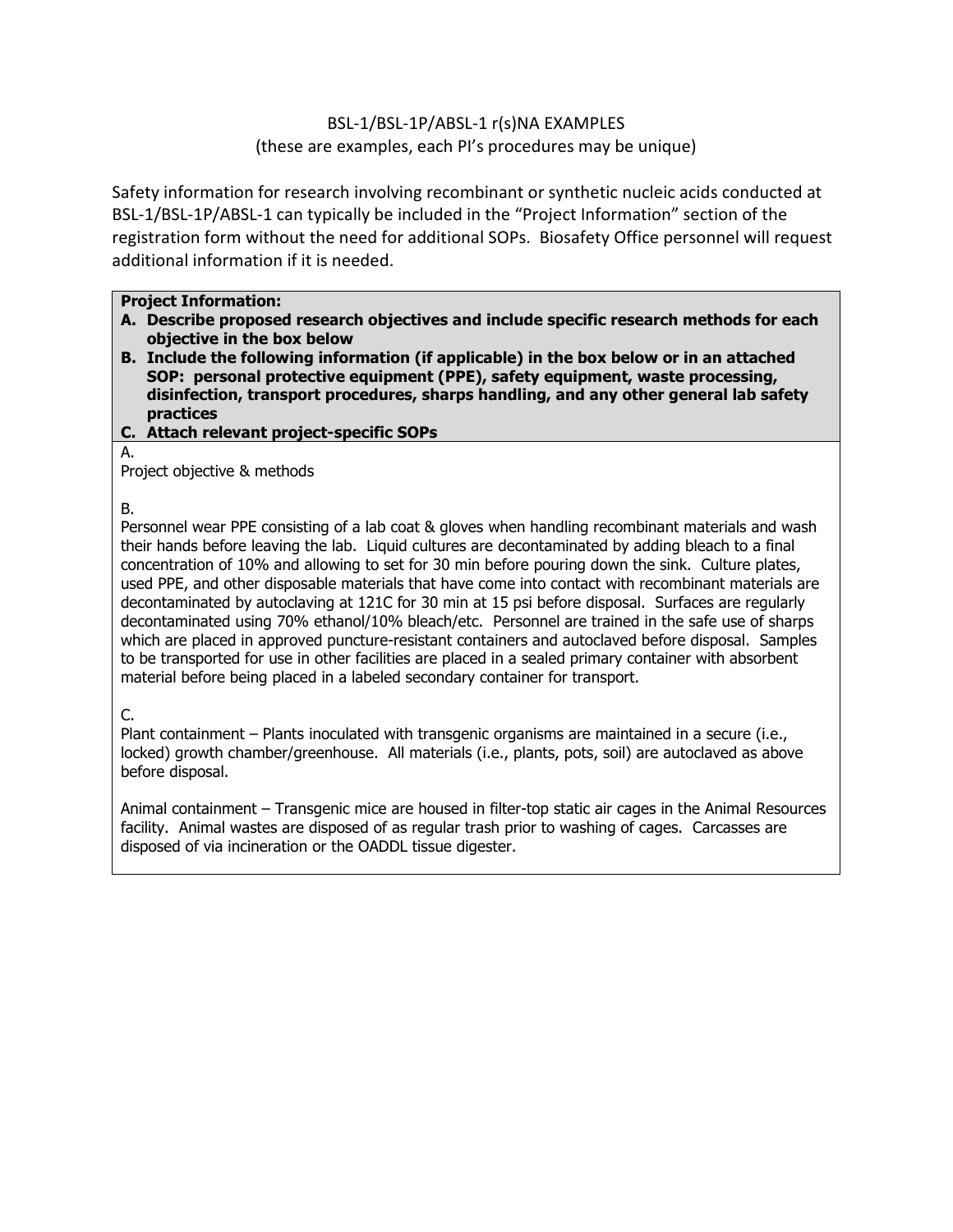## BSL-1/BSL-1P/ABSL-1 r(s)NA EXAMPLES (these are examples, each PI's procedures may be unique)

<span id="page-5-0"></span>Safety information for research involving recombinant or synthetic nucleic acids conducted at BSL-1/BSL-1P/ABSL-1 can typically be included in the "Project Information" section of the registration form without the need for additional SOPs. Biosafety Office personnel will request additional information if it is needed.

### **Project Information:**

- **A. Describe proposed research objectives and include specific research methods for each objective in the box below**
- **B. Include the following information (if applicable) in the box below or in an attached SOP: personal protective equipment (PPE), safety equipment, waste processing, disinfection, transport procedures, sharps handling, and any other general lab safety practices**
- **C. Attach relevant project-specific SOPs**
- A.

Project objective & methods

# B.

Personnel wear PPE consisting of a lab coat & gloves when handling recombinant materials and wash their hands before leaving the lab. Liquid cultures are decontaminated by adding bleach to a final concentration of 10% and allowing to set for 30 min before pouring down the sink. Culture plates, used PPE, and other disposable materials that have come into contact with recombinant materials are decontaminated by autoclaving at 121C for 30 min at 15 psi before disposal. Surfaces are regularly decontaminated using 70% ethanol/10% bleach/etc. Personnel are trained in the safe use of sharps which are placed in approved puncture-resistant containers and autoclaved before disposal. Samples to be transported for use in other facilities are placed in a sealed primary container with absorbent material before being placed in a labeled secondary container for transport.

# C.

Plant containment – Plants inoculated with transgenic organisms are maintained in a secure (i.e., locked) growth chamber/greenhouse. All materials (i.e., plants, pots, soil) are autoclaved as above before disposal.

Animal containment – Transgenic mice are housed in filter-top static air cages in the Animal Resources facility. Animal wastes are disposed of as regular trash prior to washing of cages. Carcasses are disposed of via incineration or the OADDL tissue digester.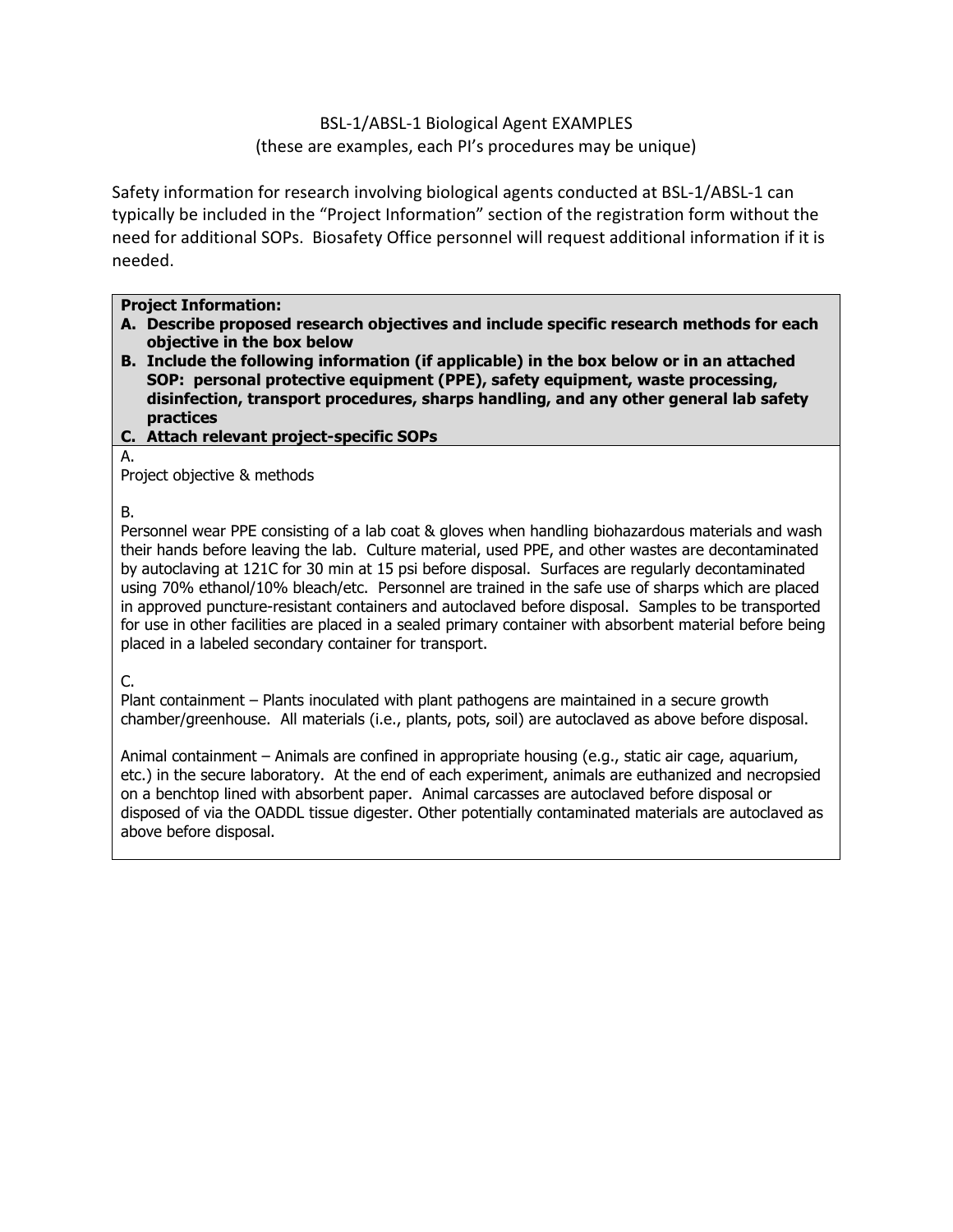BSL-1/ABSL-1 Biological Agent EXAMPLES (these are examples, each PI's procedures may be unique)

<span id="page-6-0"></span>Safety information for research involving biological agents conducted at BSL-1/ABSL-1 can typically be included in the "Project Information" section of the registration form without the need for additional SOPs. Biosafety Office personnel will request additional information if it is needed.

### **Project Information:**

- **A. Describe proposed research objectives and include specific research methods for each objective in the box below**
- **B. Include the following information (if applicable) in the box below or in an attached SOP: personal protective equipment (PPE), safety equipment, waste processing, disinfection, transport procedures, sharps handling, and any other general lab safety practices**
- **C. Attach relevant project-specific SOPs**

A.

Project objective & methods

B.

Personnel wear PPE consisting of a lab coat & gloves when handling biohazardous materials and wash their hands before leaving the lab. Culture material, used PPE, and other wastes are decontaminated by autoclaving at 121C for 30 min at 15 psi before disposal. Surfaces are regularly decontaminated using 70% ethanol/10% bleach/etc. Personnel are trained in the safe use of sharps which are placed in approved puncture-resistant containers and autoclaved before disposal. Samples to be transported for use in other facilities are placed in a sealed primary container with absorbent material before being placed in a labeled secondary container for transport.

C.

Plant containment – Plants inoculated with plant pathogens are maintained in a secure growth chamber/greenhouse. All materials (i.e., plants, pots, soil) are autoclaved as above before disposal.

Animal containment – Animals are confined in appropriate housing (e.g., static air cage, aquarium, etc.) in the secure laboratory. At the end of each experiment, animals are euthanized and necropsied on a benchtop lined with absorbent paper. Animal carcasses are autoclaved before disposal or disposed of via the OADDL tissue digester. Other potentially contaminated materials are autoclaved as above before disposal.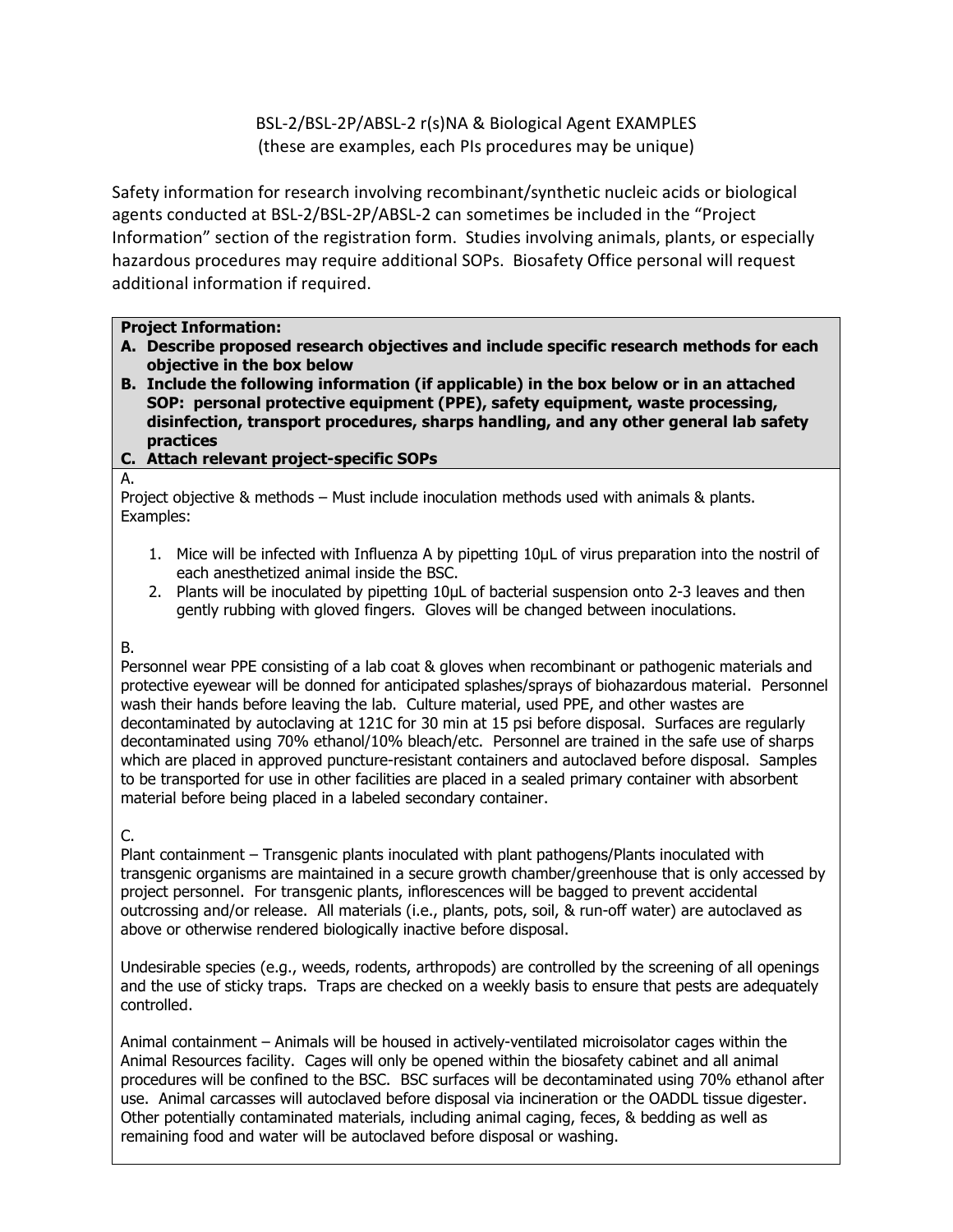## BSL-2/BSL-2P/ABSL-2 r(s)NA & Biological Agent EXAMPLES (these are examples, each PIs procedures may be unique)

<span id="page-7-0"></span>Safety information for research involving recombinant/synthetic nucleic acids or biological agents conducted at BSL-2/BSL-2P/ABSL-2 can sometimes be included in the "Project Information" section of the registration form. Studies involving animals, plants, or especially hazardous procedures may require additional SOPs. Biosafety Office personal will request additional information if required.

### **Project Information:**

- **A. Describe proposed research objectives and include specific research methods for each objective in the box below**
- **B. Include the following information (if applicable) in the box below or in an attached SOP: personal protective equipment (PPE), safety equipment, waste processing, disinfection, transport procedures, sharps handling, and any other general lab safety practices**
- **C. Attach relevant project-specific SOPs**

#### A.

Project objective & methods – Must include inoculation methods used with animals & plants. Examples:

- 1. Mice will be infected with Influenza A by pipetting 10µL of virus preparation into the nostril of each anesthetized animal inside the BSC.
- 2. Plants will be inoculated by pipetting 10µL of bacterial suspension onto 2-3 leaves and then gently rubbing with gloved fingers. Gloves will be changed between inoculations.

#### B.

Personnel wear PPE consisting of a lab coat & gloves when recombinant or pathogenic materials and protective eyewear will be donned for anticipated splashes/sprays of biohazardous material. Personnel wash their hands before leaving the lab. Culture material, used PPE, and other wastes are decontaminated by autoclaving at 121C for 30 min at 15 psi before disposal. Surfaces are regularly decontaminated using 70% ethanol/10% bleach/etc. Personnel are trained in the safe use of sharps which are placed in approved puncture-resistant containers and autoclaved before disposal. Samples to be transported for use in other facilities are placed in a sealed primary container with absorbent material before being placed in a labeled secondary container.

### C.

Plant containment – Transgenic plants inoculated with plant pathogens/Plants inoculated with transgenic organisms are maintained in a secure growth chamber/greenhouse that is only accessed by project personnel. For transgenic plants, inflorescences will be bagged to prevent accidental outcrossing and/or release. All materials (i.e., plants, pots, soil, & run-off water) are autoclaved as above or otherwise rendered biologically inactive before disposal.

Undesirable species (e.g., weeds, rodents, arthropods) are controlled by the screening of all openings and the use of sticky traps. Traps are checked on a weekly basis to ensure that pests are adequately controlled.

Animal containment – Animals will be housed in actively-ventilated microisolator cages within the Animal Resources facility. Cages will only be opened within the biosafety cabinet and all animal procedures will be confined to the BSC. BSC surfaces will be decontaminated using 70% ethanol after use. Animal carcasses will autoclaved before disposal via incineration or the OADDL tissue digester. Other potentially contaminated materials, including animal caging, feces, & bedding as well as remaining food and water will be autoclaved before disposal or washing.